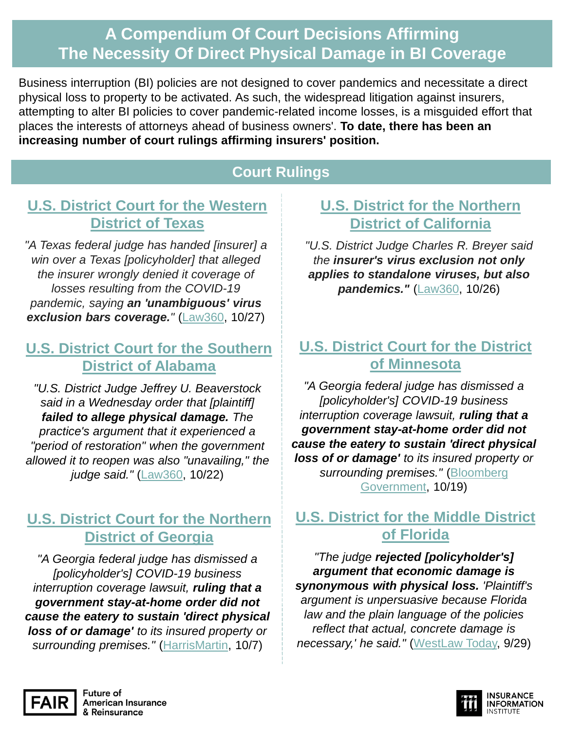# **A Compendium Of Court Decisions Affirming The Necessity Of Direct Physical Damage in BI Coverage**

Business interruption (BI) policies are not designed to cover pandemics and necessitate a direct physical loss to property to be activated. As such, the widespread litigation against insurers, attempting to alter BI policies to cover pandemic-related income losses, is a misguided effort that places the interests of attorneys ahead of business owners'. **To date, there has been an increasing number of court rulings affirming insurers' position.**

# **Court Rulings**

# **[U.S. District Court for the Western](https://www.law360.com/articles/1323023)  District of Texas**

*"A Texas federal judge has handed [insurer] a win over a Texas [policyholder] that alleged the insurer wrongly denied it coverage of losses resulting from the COVID-19 pandemic, saying an 'unambiguous' virus exclusion bars coverage."* [\(Law360,](https://www.law360.com/articles/1323023) 10/27)

#### **[U.S. District Court for the Southern](https://www.law360.com/health/articles/1321781/ala-optometrist-loses-bid-for-covid-19-coverage)  District of Alabama**

*"U.S. District Judge Jeffrey U. Beaverstock said in a Wednesday order that [plaintiff] failed to allege physical damage. The practice's argument that it experienced a "period of restoration" when the government allowed it to reopen was also "unavailing," the judge said."* ([Law360](https://www.law360.com/health/articles/1321781/ala-optometrist-loses-bid-for-covid-19-coverage), 10/22)

## **[U.S. District Court for the Northern](https://fairinsure.org/two-more-judges-reaffirm-pandemic-related-shutdown-orders-do-not-constitute-physical-damage/) District of Georgia**

*"A Georgia federal judge has dismissed a [policyholder's] COVID-19 business interruption coverage lawsuit, ruling that a government stay-at-home order did not cause the eatery to sustain 'direct physical loss of or damage' to its insured property or surrounding premises."* ([HarrisMartin](https://fairinsure.us18.list-manage.com/track/click?u=4ac865c463d54ddb88dc74025&id=f34b668e9e&e=43190ce587), 10/7)

#### **[U.S. District for the Northern](https://fairinsure.org/california-judge-tosses-business-interruption-lawsuit-due-to-virus-exclusion/)  District of California**

*"U.S. District Judge Charles R. Breyer said the insurer's virus exclusion not only applies to standalone viruses, but also pandemics."* [\(Law360,](https://www.law360.com/articles/1322962) 10/26)

### **[U.S. District Court for the District](https://fairinsure.us18.list-manage.com/track/click?u=4ac865c463d54ddb88dc74025&id=04d37dfccb&e=43190ce587) of Minnesota**

*"A Georgia federal judge has dismissed a [policyholder's] COVID-19 business interruption coverage lawsuit, ruling that a government stay-at-home order did not cause the eatery to sustain 'direct physical loss of or damage' to its insured property or surrounding premises."* (Bloomberg [Government, 10/19\)](https://www.bgov.com/core/news/#!/articles/QIGZAZDWRGG2)

#### **[U.S. District for the Middle District](https://fairinsure.org/two-more-judges-reaffirm-pandemic-related-shutdown-orders-do-not-constitute-physical-damage/) of Florida**

*"The judge rejected [policyholder's] argument that economic damage is synonymous with physical loss. 'Plaintiff's argument is unpersuasive because Florida law and the plain language of the policies reflect that actual, concrete damage is necessary,' he said."* [\(WestLaw](https://fairinsure.us18.list-manage.com/track/click?u=4ac865c463d54ddb88dc74025&id=fde99c9e41&e=43190ce587) Today, 9/29)



**Future of American Insurance** & Reinsurance

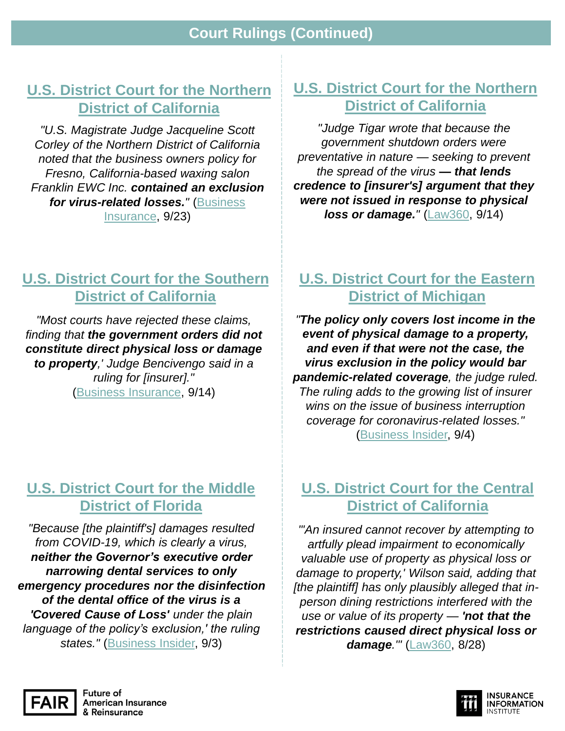**Court Rulings (Continued)**

#### **[U.S. District Court for the Northern](https://www.businessinsurance.com/article/20200923/NEWS06/912336785/Court-rules-virus-exclusion-bars-COVID-19-cover-for-waxing-salon-Franklin-EWC-In) District of California**

*"U.S. Magistrate Judge Jacqueline Scott Corley of the Northern District of California noted that the business owners policy for Fresno, California-based waxing salon Franklin EWC Inc. contained an exclusion for virus-related losses."* (Business [Insurance, 9/23\)](https://www.businessinsurance.com/article/20200923/NEWS06/912336785/Court-rules-virus-exclusion-bars-COVID-19-cover-for-waxing-salon-Franklin-EWC-In)

#### **[U.S. District Court for the Northern](https://fairinsure.org/two-more-courts-rule-covid-19-did-not-cause-direct-physical-loss/)  District of California**

*"Judge Tigar wrote that because the government shutdown orders were preventative in nature — seeking to prevent the spread of the virus — that lends credence to [insurer's] argument that they were not issued in response to physical*  **loss or damage.**" [\(Law360,](https://www.law360.com/articles/1310019/sf-retailer-can-t-get-covid-19-income-loss-coverage) 9/14)

## **[U.S. District Court for the Southern](https://fairinsure.org/two-more-courts-rule-covid-19-did-not-cause-direct-physical-loss/) District of California**

*"Most courts have rejected these claims, finding that the government orders did not constitute direct physical loss or damage to property,' Judge Bencivengo said in a ruling for [insurer]."* ([Business Insurance](https://www.businessinsurance.com/article/20200914/NEWS06/912336603/Zurich-unit-wins-COVID-19-business-interruption-dispute-with-barbershops-coronav), 9/14)

#### **[U.S. District Court for the Middle](https://fairinsure.org/another-court-rules-in-favor-of-upholding-business-interruption-insurance-contracts/)  District of Florida**

*"Because [the plaintiff's] damages resulted from COVID-19, which is clearly a virus, neither the Governor's executive order narrowing dental services to only emergency procedures nor the disinfection of the dental office of the virus is a 'Covered Cause of Loss' under the plain language of the policy's exclusion,' the ruling states."* [\(Business Insider,](https://www.businessinsurance.com/article/20200903/NEWS06/912336459/Virus-exclusion-holds-up-in-COVID-19-coverage-case-Mauricio-Martinez-v-Allied-I) 9/3)

## **[U.S. District Court for the Eastern](https://fairinsure.org/another-court-agrees-business-interruption-insurance-does-not-cover-pandemic-related-losses/)  District of Michigan**

*"The policy only covers lost income in the event of physical damage to a property, and even if that were not the case, the virus exclusion in the policy would bar pandemic-related coverage, the judge ruled. The ruling adds to the growing list of insurer wins on the issue of business interruption coverage for coronavirus-related losses."*  [\(Business Insider,](https://www.businessinsurance.com/article/20200904/NEWS06/912336481/Insurer-wins-COVID-19-ruling-as-judge-parses-policy-wordings) 9/4)

#### **[U.S. District Court for the Central](https://fairinsure.org/los-angeles-restaurant-not-entitled-to-bi-coverage-california-federal-judge-rules/)  District of California**

*"'An insured cannot recover by attempting to artfully plead impairment to economically valuable use of property as physical loss or damage to property,' Wilson said, adding that [the plaintiff] has only plausibly alleged that inperson dining restrictions interfered with the use or value of its property — 'not that the restrictions caused direct physical loss or damage.'"* ([Law360](https://www.law360.com/articles/1305697/travelers-defeats-la-eatery-s-bid-for-covid-19-coverage), 8/28)



Future of **American Insurance** & Reinsurance